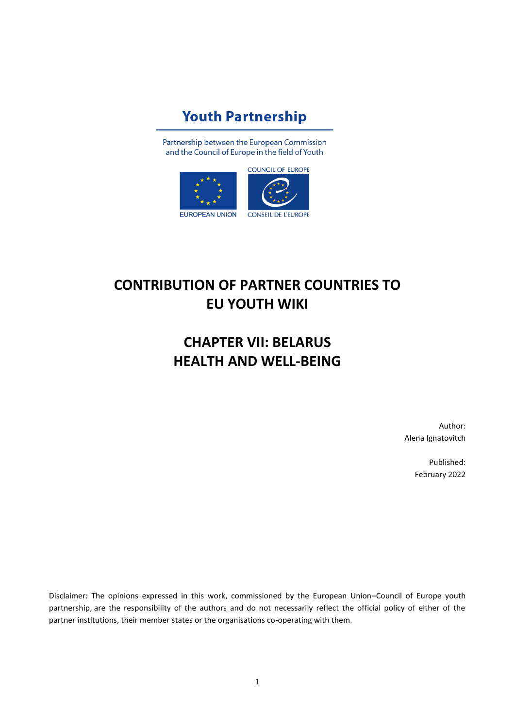# **Youth Partnership**

Partnership between the European Commission and the Council of Europe in the field of Youth



# **CONTRIBUTION OF PARTNER COUNTRIES TO EU YOUTH WIKI**

# **CHAPTER VII: BELARUS HEALTH AND WELL-BEING**

Author: Alena Ignatovitch

> Published: February 2022

Disclaimer: The opinions expressed in this work, commissioned by the European Union–Council of Europe youth partnership, are the responsibility of the authors and do not necessarily reflect the official policy of either of the partner institutions, their member states or the organisations co-operating with them.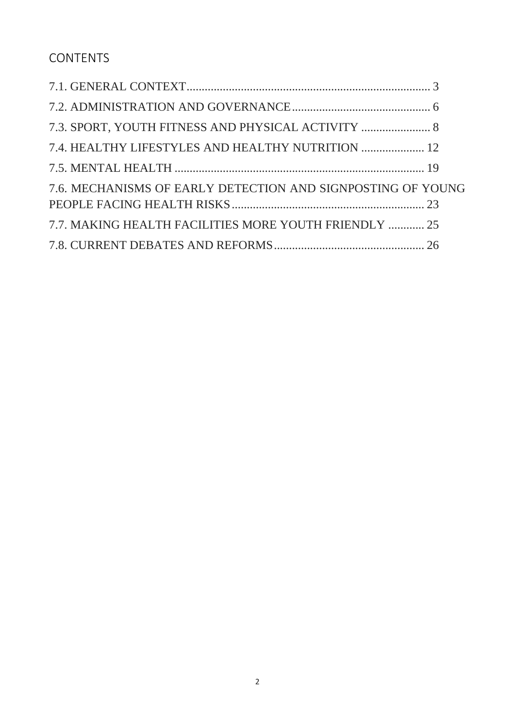CONTENTS

| 7.3. SPORT, YOUTH FITNESS AND PHYSICAL ACTIVITY  8          |  |
|-------------------------------------------------------------|--|
| 7.4. HEALTHY LIFESTYLES AND HEALTHY NUTRITION  12           |  |
|                                                             |  |
| 7.6. MECHANISMS OF EARLY DETECTION AND SIGNPOSTING OF YOUNG |  |
|                                                             |  |
| 7.7. MAKING HEALTH FACILITIES MORE YOUTH FRIENDLY  25       |  |
|                                                             |  |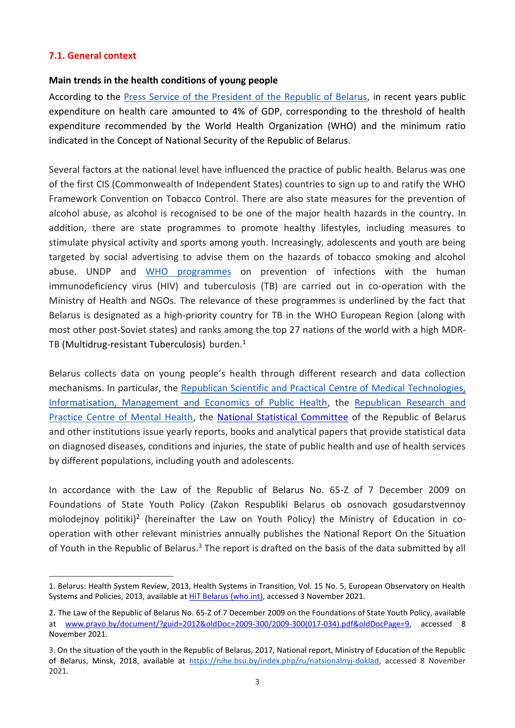### <span id="page-2-0"></span>**7.1. General context**

#### **Main trends in the health conditions of young people**

According to the [Press Service of the President of the Republic of Belarus,](https://president.gov.by/en/belarus/social/healthcare%5bhttps:/president.gov.by/en/belarus/social/healthcare) in recent years public expenditure on health care amounted to 4% of GDP, corresponding to the threshold of health expenditure recommended by the World Health Organization (WHO) and the minimum ratio indicated in the Concept of National Security of the Republic of Belarus.

Several factors at the national level have influenced the practice of public health. Belarus was one of the first CIS (Commonwealth of Independent States) countries to sign up to and ratify the WHO Framework Convention on Tobacco Control. There are also state measures for the prevention of alcohol abuse, as alcohol is recognised to be one of the major health hazards in the country. In addition, there are state programmes to promote healthy lifestyles, including measures to stimulate physical activity and sports among youth. Increasingly, adolescents and youth are being targeted by social advertising to advise them on the hazards of tobacco smoking and alcohol abuse. UNDP and [WHO programmes](https://www.euro.who.int/__data/assets/pdf_file/0005/232835/HiT-Belarus.pdf) on prevention of infections with the human immunodeficiency virus (HIV) and tuberculosis (TB) are carried out in co-operation with the Ministry of Health and NGOs. The relevance of these programmes is underlined by the fact that Belarus is designated as a high-priority country for TB in the WHO European Region (along with most other post-Soviet states) and ranks among the top 27 nations of the world with a high MDR-TB (Multidrug-resistant Tuberculosis) burden. 1

Belarus collects data on young people's health through different research and data collection mechanisms. In particular, the [Republican Scientific and Practical Centre of Medical Technologies,](http://belcmt.by/)  [Informatisation, Management and Economics of Public Health,](http://belcmt.by/) the [Republican Research and](https://mentalhealth.by/about-us)  Practice Centre of Mental Health, the [National Statistical Committee](https://www.belstat.gov.by/) of the Republic of Belarus and other institutions issue yearly reports, books and analytical papers that provide statistical data on diagnosed diseases, conditions and injuries, the state of public health and use of health services by different populations, including youth and adolescents.

In accordance with the Law of the Republic of Belarus No. 65-Z of 7 December 2009 on Foundations of State Youth Policy (Zakon Respubliki Belarus ob osnovach gosudarstvennoy molodejnoy politiki)<sup>2</sup> (hereinafter the Law on Youth Policy) the Ministry of Education in cooperation with other relevant ministries annually publishes the National Report On the Situation of Youth in the Republic of Belarus.<sup>3</sup> The report is drafted on the basis of the data submitted by all

<sup>1.</sup> Belarus: Health System Review, 2013, Health Systems in Transition, Vol. 15 No. 5, European Observatory on Health Systems and Policies, 2013, available a[t HiT Belarus \(who.int\),](https://www.euro.who.int/__data/assets/pdf_file/0005/232835/HiT-Belarus.pdf) accessed 3 November 2021.

<sup>2</sup>. The Law of the Republic of Belarus No. 65-Z of 7 December 2009 on the Foundations of State Youth Policy, available at [www.pravo.by/document/?guid=2012&oldDoc=2009-300/2009-300\(017-034\).pdf&oldDocPage=9,](../../AppData/Local/Microsoft/AppData/Local/Microsoft/Windows/INetCache/Content.Outlook/9IFE9BPP/www.pravo.by/document/?guid=2012&oldDoc=2009-300/2009-300(017-034).pdf&oldDocPage=9) accessed 8 November 2021.

<sup>3.</sup> On the situation of the youth in the Republic of Belarus, 2017, National report, Ministry of Education of the Republic of Belarus, Minsk, 2018, available at [https://nihe.bsu.by/index.php/ru/natsionalnyj-doklad,](https://nihe.bsu.by/index.php/ru/natsionalnyj-doklad) accessed 8 November 2021.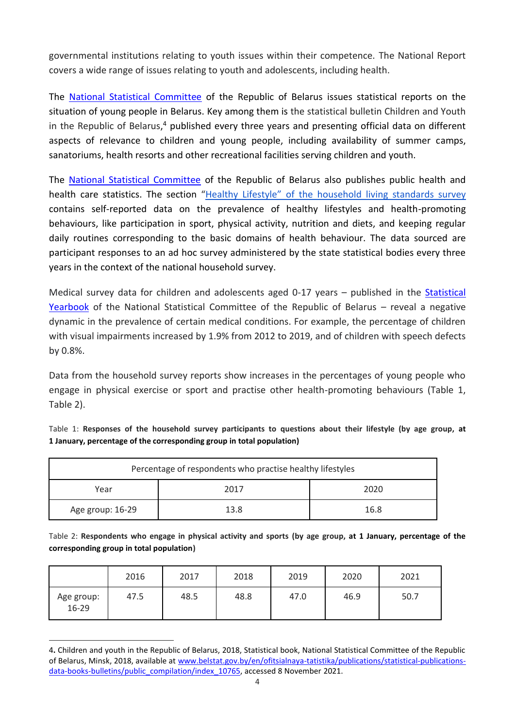governmental institutions relating to youth issues within their competence. The National Report covers a wide range of issues relating to youth and adolescents, including health.

The [National Statistical Committee](https://www.belstat.gov.by/) of the Republic of Belarus issues statistical reports on the situation of young people in Belarus. Key among them is the statistical bulletin Children and Youth in the Republic of Belarus,<sup>4</sup> published every three years and presenting official data on different aspects of relevance to children and young people, including availability of summer camps, sanatoriums, health resorts and other recreational facilities serving children and youth.

The [National Statistical Committee](https://www.belstat.gov.by/) of the Republic of Belarus also publishes public health and health care statistics. The section "Healthy Lifestyle" [of the household living standards survey](https://www.belstat.gov.by/informatsiya-dlya-respondenta/vyborochnye-obsledovaniya/vyborochnoe-obsledovanie-domashnih-hozyaistv-po-urovnyu-zhizni/) contains self-reported data on the prevalence of healthy lifestyles and health-promoting behaviours, like participation in sport, physical activity, nutrition and diets, and keeping regular daily routines corresponding to the basic domains of health behaviour. The data sourced are participant responses to an ad hoc survey administered by the state statistical bodies every three years in the context of the national household survey.

Medical survey data for children and adolescents aged 0-17 years – published in the Statistical [Yearbook](https://www.belstat.gov.by/ofitsialnaya-statistika/publications/izdania/public_compilation/index_41019/) of the National Statistical Committee of the Republic of Belarus – reveal a negative dynamic in the prevalence of certain medical conditions. For example, the percentage of children with visual impairments increased by 1.9% from 2012 to 2019, and of children with speech defects by 0.8%.

Data from the household survey reports show increases in the percentages of young people who engage in physical exercise or sport and practise other health-promoting behaviours (Table 1, Table 2).

| Percentage of respondents who practise healthy lifestyles |      |      |  |  |  |
|-----------------------------------------------------------|------|------|--|--|--|
| 2020<br>2017<br>Year                                      |      |      |  |  |  |
| Age group: 16-29                                          | 13.8 | 16.8 |  |  |  |

Table 1: **Responses of the household survey participants to questions about their lifestyle (by age group, at 1 January, percentage of the corresponding group in total population)**

Table 2: **Respondents who engage in physical activity and sports (by age group, at 1 January, percentage of the corresponding group in total population)**

|                       | 2016 | 2017 | 2018 | 2019 | 2020 | 2021 |
|-----------------------|------|------|------|------|------|------|
| Age group:<br>$16-29$ | 47.5 | 48.5 | 48.8 | 47.0 | 46.9 | 50.7 |

<sup>4</sup>**.** Children and youth in the Republic of Belarus, 2018, Statistical book, National Statistical Committee of the Republic of Belarus, Minsk, 2018, available at [www.belstat.gov.by/en/ofitsialnaya-tatistika/publications/statistical-publications](../../AppData/Local/Microsoft/AppData/Local/Microsoft/Windows/INetCache/Content.Outlook/9IFE9BPP/www.belstat.gov.by/en/ofitsialnaya-tatistika/publications/statistical-publications-data-books-bulletins/public_compilation/index_10765)[data-books-bulletins/public\\_compilation/index\\_10765,](../../AppData/Local/Microsoft/AppData/Local/Microsoft/Windows/INetCache/Content.Outlook/9IFE9BPP/www.belstat.gov.by/en/ofitsialnaya-tatistika/publications/statistical-publications-data-books-bulletins/public_compilation/index_10765) accessed 8 November 2021.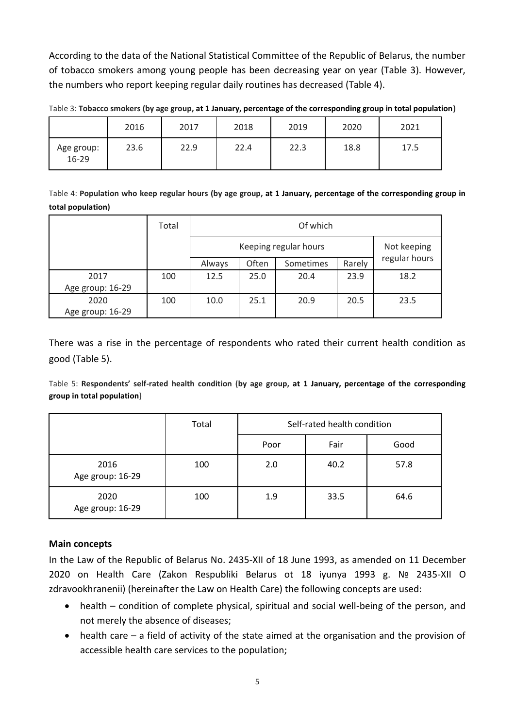According to the data of the National Statistical Committee of the Republic of Belarus, the number of tobacco smokers among young people has been decreasing year on year (Table 3). However, the numbers who report keeping regular daily routines has decreased (Table 4).

|                     | 2016 | 2017 | 2018 | 2019 | 2020 | 2021 |
|---------------------|------|------|------|------|------|------|
| Age group:<br>16-29 | 23.6 | 22.9 | 22.4 | 22.3 | 18.8 | 17.5 |

Table 3: **Tobacco smokers (by age group, at 1 January, percentage of the corresponding group in total population)**

Table 4: **Population who keep regular hours (by age group, at 1 January, percentage of the corresponding group in total population)**

|                  | Total | Of which |                       |           |        |               |
|------------------|-------|----------|-----------------------|-----------|--------|---------------|
|                  |       |          | Keeping regular hours |           |        |               |
|                  |       | Always   | Often                 | Sometimes | Rarely | regular hours |
| 2017             | 100   | 12.5     | 25.0                  | 20.4      | 23.9   | 18.2          |
| Age group: 16-29 |       |          |                       |           |        |               |
| 2020             | 100   | 10.0     | 25.1                  | 20.9      | 20.5   | 23.5          |
| Age group: 16-29 |       |          |                       |           |        |               |

There was a rise in the percentage of respondents who rated their current health condition as good (Table 5).

Table 5: **Respondents' self-rated health condition (by age group, at 1 January, percentage of the corresponding group in total population)**

|                          | Total | Self-rated health condition |      |      |  |  |
|--------------------------|-------|-----------------------------|------|------|--|--|
|                          |       | Poor                        | Fair | Good |  |  |
| 2016<br>Age group: 16-29 | 100   | 2.0                         | 40.2 | 57.8 |  |  |
| 2020<br>Age group: 16-29 | 100   | 1.9                         | 33.5 | 64.6 |  |  |

## **Main concepts**

In the Law of the Republic of Belarus No. 2435-XII of 18 June 1993, as amended on 11 December 2020 on Health Care (Zakon Respubliki Belarus ot 18 iyunya 1993 g. № 2435-XII O zdravookhranenii) (hereinafter the Law on Health Care) the following concepts are used:

- health condition of complete physical, spiritual and social well-being of the person, and not merely the absence of diseases;
- health care a field of activity of the state aimed at the organisation and the provision of accessible health care services to the population;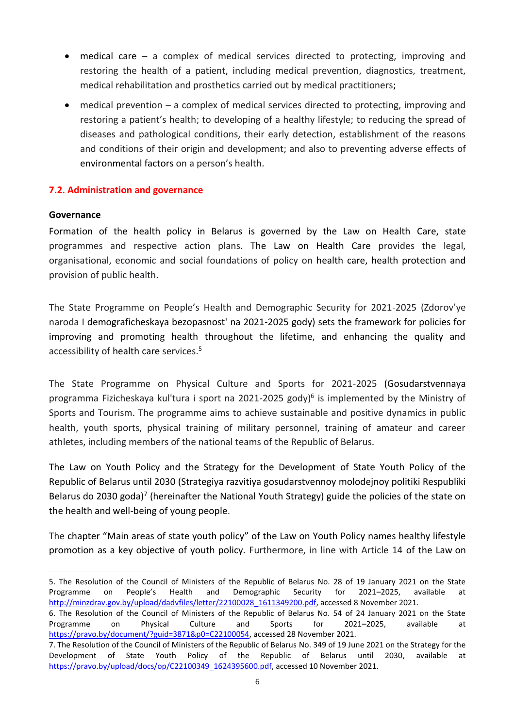- medical care a complex of medical services directed to protecting, improving and restoring the health of a patient, including medical prevention, diagnostics, treatment, medical rehabilitation and prosthetics carried out by medical practitioners;
- medical prevention a complex of medical services directed to protecting, improving and restoring a patient's health; to developing of a healthy lifestyle; to reducing the spread of diseases and pathological conditions, their early detection, establishment of the reasons and conditions of their origin and development; and also to preventing adverse effects of environmental factors on a person's health.

# <span id="page-5-0"></span>**7.2. Administration and governance**

#### **Governance**

Formation of the health policy in Belarus is governed by the Law on Health Care, state programmes and respective action plans. The Law on Health Care provides the legal, organisational, economic and social foundations of policy on health care, health protection and provision of public health.

The State Programme on People's Health and Demographic Security for 2021-2025 (Zdorov'ye naroda I demograficheskaya bezopasnost' na 2021-2025 gody) sets the framework for policies for improving and promoting health throughout the lifetime, and enhancing the quality and accessibility of health care services. 5

The State Programme on Physical Culture and Sports for 2021-2025 (Gosudarstvennaya programma Fizicheskaya kul'tura i sport na 2021-2025 gody)<sup>6</sup> is implemented by the Ministry of Sports and Tourism. The programme aims to achieve sustainable and positive dynamics in public health, youth sports, physical training of military personnel, training of amateur and career athletes, including members of the national teams of the Republic of Belarus.

The Law on Youth Policy and the Strategy for the Development of State Youth Policy of the Republic of Belarus until 2030 (Strategiya razvitiya gosudarstvennoy molodejnoy politiki Respubliki Belarus do 2030 goda)<sup>7</sup> (hereinafter the National Youth Strategy) guide the policies of the state on the health and well-being of young people.

The chapter "Main areas of state youth policy" of the Law on Youth Policy names healthy lifestyle promotion as a key objective of youth policy. Furthermore, in line with Article 14 of the Law on

<sup>5.</sup> The Resolution of the Council of Ministers of the Republic of Belarus No. 28 of 19 January 2021 on the State Programme on People's Health and Demographic Security for 2021–2025, available at [http://minzdrav.gov.by/upload/dadvfiles/letter/22100028\\_1611349200.pdf,](http://minzdrav.gov.by/upload/dadvfiles/letter/22100028_1611349200.pdf) accessed 8 November 2021.

<sup>6.</sup> The Resolution of the Council of Ministers of the Republic of Belarus No. 54 of 24 January 2021 on the State Programme on Physical Culture and Sports for 2021–2025, available at [https://pravo.by/document/?guid=3871&p0=C22100054,](https://pravo.by/document/?guid=3871&p0=C22100054) accessed 28 November 2021.

<sup>7.</sup> The Resolution of the Council of Ministers of the Republic of Belarus No. 349 of 19 June 2021 on the Strategy for the Development of State Youth Policy of the Republic of Belarus until 2030, available at [https://pravo.by/upload/docs/op/C22100349\\_1624395600.pdf,](https://pravo.by/upload/docs/op/C22100349_1624395600.pdf) accessed 10 November 2021.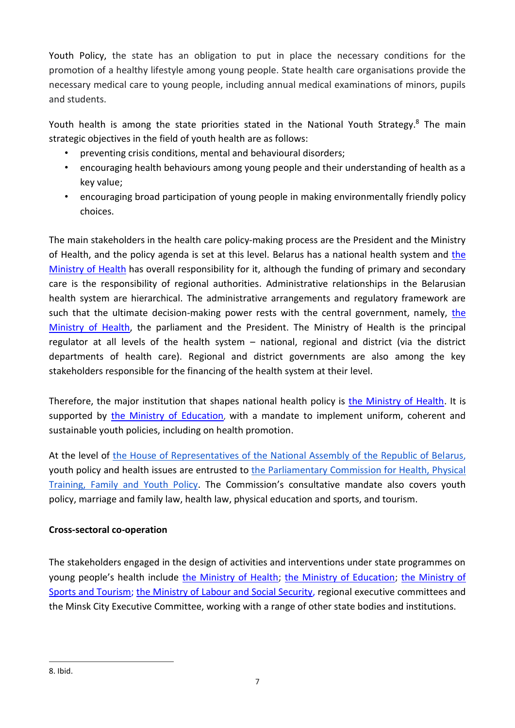Youth Policy, the state has an obligation to put in place the necessary conditions for the promotion of a healthy lifestyle among young people. State health care organisations provide the necessary medical care to young people, including annual medical examinations of minors, pupils and students.

Youth health is among the state priorities stated in the National Youth Strategy.<sup>8</sup> The main strategic objectives in the field of youth health are as follows:

- <span id="page-6-0"></span>• preventing crisis conditions, mental and behavioural disorders;
- encouraging health behaviours among young people and their understanding of health as a key value;
- encouraging broad participation of young people in making environmentally friendly policy choices.

The main stakeholders in the health care policy-making process are the President and the Ministry of Health, and the policy agenda is set at this level. Belarus has a national health system and [the](http://www.minzdrav.by/)  [Ministry of Health](http://www.minzdrav.by/) has overall responsibility for it, although the funding of primary and secondary care is the responsibility of regional authorities. Administrative relationships in the Belarusian health system are hierarchical. The administrative arrangements and regulatory framework are such that the ultimate decision-making power rests with the central government, namely, [the](http://www.minzdrav.by/)  [Ministry of Health,](http://www.minzdrav.by/) the parliament and the President. The Ministry of Health is the principal regulator at all levels of the health system – national, regional and district (via the district departments of health care). Regional and district governments are also among the key stakeholders responsible for the financing of the health system at their level.

Therefore, the major institution that shapes national health policy is [the Ministry of Health.](http://www.minzdrav.by/) It is supported by [the Ministry of Education](http://www.edu.gov.by/), with a mandate to implement uniform, coherent and sustainable youth policies, including on health promotion.

At the level of [the House of Representatives of the National Assembly of the Republic of Belarus,](http://www.house.gov.by/ru/deputies-ru/viewCommittee/komissija-po-komissija-po-komissija-po-zdravooxraneniju-fizicheskoj-kulture-semejnoj-i-molodezhnoj-politike-19)  youth policy and health issues are entrusted to [the Parliamentary Commission for Health, Physical](http://www.house.gov.by/ru/deputies-ru/viewCommittee/komissija-po-komissija-po-komissija-po-zdravooxraneniju-fizicheskoj-kulture-semejnoj-i-molodezhnoj-politike-19)  [Training, Family and Youth Policy.](http://www.house.gov.by/ru/deputies-ru/viewCommittee/komissija-po-komissija-po-komissija-po-zdravooxraneniju-fizicheskoj-kulture-semejnoj-i-molodezhnoj-politike-19) The Commission's consultative mandate also covers youth policy, marriage and family law, health law, physical education and sports, and tourism.

# **Cross-sectoral co-operation**

The stakeholders engaged in the design of activities and interventions under state programmes on young people's health include [the Ministry of Health;](http://www.minzdrav.by/) [the Ministry of Education;](http://www.edu.gov.by/) the Ministry of [Sports and Tourism;](http://www.mst.by/) [the Ministry of Labour and Social Security,](http://www.mintrud.gov.by/) regional executive committees and the Minsk City Executive Committee, working with a range of other state bodies and institutions.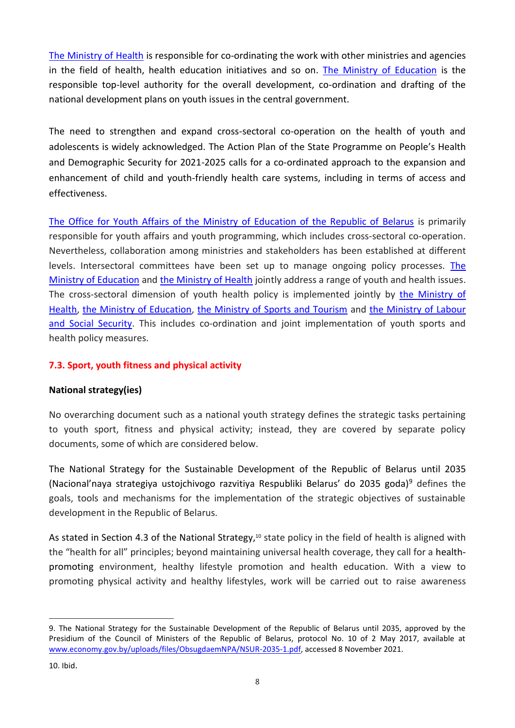[The Ministry of Health](http://www.minzdrav.by/) is responsible for co-ordinating the work with other ministries and agencies in the field of health, health education initiatives and so on. [The Ministry of Education](http://www.edu.gov.by/) is the responsible top-level authority for the overall development, co-ordination and drafting of the national development plans on youth issues in the central government.

The need to strengthen and expand cross-sectoral co-operation on the health of youth and adolescents is widely acknowledged. The Action Plan of the State Programme on People's Health and Demographic Security for 2021-2025 calls for a co-ordinated approach to the expansion and enhancement of child and youth-friendly health care systems, including in terms of access and effectiveness.

[The Office for Youth Affairs of the Ministry of Education of the Republic of Belarus](https://edu.gov.by/feedback/phones_ru/glavnoe-upravlenie-vospitatelnoy-raboty-i-molodezhnoy-politiki/upravlenie-po-delam-molodezhi/) is primarily responsible for youth affairs and youth programming, which includes cross-sectoral co-operation. Nevertheless, collaboration among ministries and stakeholders has been established at different levels. Intersectoral committees have been set up to manage ongoing policy processes. The [Ministry of Education](http://www.edu.gov.by/) and [the Ministry of Health](http://www.minzdrav.by/) jointly address a range of youth and health issues. The cross-sectoral dimension of youth health policy is implemented jointly by the Ministry of [Health,](http://www.minzdrav.by/) [the Ministry of Education,](http://www.edu.gov.by/) [the Ministry of Sports and Tourism](http://www.mst.by/) and [the Ministry of Labour](http://www.mintrud.gov.by/)  [and Social Security.](http://www.mintrud.gov.by/) This includes co-ordination and joint implementation of youth sports and health policy measures.

# <span id="page-7-0"></span>**7.3. Sport, youth fitness and physical activity**

## **National strategy(ies)**

No overarching document such as a national youth strategy defines the strategic tasks pertaining to youth sport, fitness and physical activity; instead, they are covered by separate policy documents, some of which are considered below.

The National Strategy for the Sustainable Development of the Republic of Belarus until 2035 (Nacional'naya strategiya ustojchivogo razvitiya Respubliki Belarus' do 2035 goda)<sup>9</sup> defines the goals, tools and mechanisms for the implementation of the strategic objectives of sustainable development in the Republic of Belarus.

As stated in Section 4.3 of the National Strategy,<sup>10</sup> state policy in the field of health is aligned with the "health for all" principles; beyond maintaining universal health coverage, they call for a healthpromoting environment, healthy lifestyle promotion and health education. With a view to promoting physical activity and healthy lifestyles, work will be carried out to raise awareness

<sup>9.</sup> The National Strategy for the Sustainable Development of the Republic of Belarus until 2035, approved by the Presidium of the Council of Ministers of the Republic of Belarus, protocol No. 10 of 2 May 2017, available at [www.economy.gov.by/uploads/files/ObsugdaemNPA/NSUR-2035-1.pdf,](http://www.economy.gov.by/uploads/files/ObsugdaemNPA/NSUR-2035-1.pdf) accessed 8 November 2021.

<sup>10.</sup> Ibid.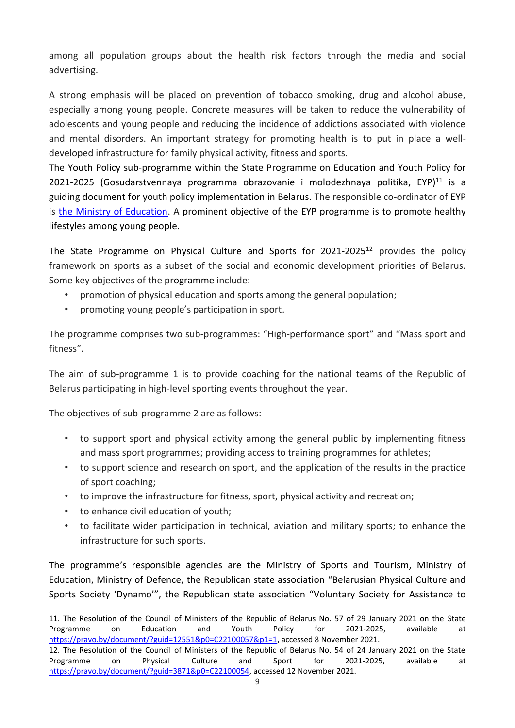among all population groups about the health risk factors through the media and social advertising.

A strong emphasis will be placed on prevention of tobacco smoking, drug and alcohol abuse, especially among young people. Concrete measures will be taken to reduce the vulnerability of adolescents and young people and reducing the incidence of addictions associated with violence and mental disorders. An important strategy for promoting health is to put in place a welldeveloped infrastructure for family physical activity, fitness and sports.

[The Youth Policy sub-programme within the State Programme on Education and Youth Policy for](https://pravo.by/upload/docs/op/C22100057_1612386000.pdf)  [2021-2025](https://pravo.by/upload/docs/op/C22100057_1612386000.pdf) (Gosudarstvennaya programma obrazovanie i molodezhnaya politika, EYP)<sup>11</sup> is a guiding document for youth policy implementation in Belarus. The responsible co-ordinator of EYP is [the Ministry of Education.](http://www.edu.gov.by/) A prominent objective of the EYP programme is to promote healthy lifestyles among young people.

The State Programme on Physical Culture and Sports for 2021-2025<sup>12</sup> provides the policy framework on sports as a subset of the social and economic development priorities of Belarus. Some key objectives of the programme include:

- promotion of physical education and sports among the general population;
- promoting young people's participation in sport.

The programme comprises two sub-programmes: "High-performance sport" and "Mass sport and fitness".

The aim of sub-programme 1 is to provide coaching for the national teams of the Republic of Belarus participating in high-level sporting events throughout the year.

The objectives of sub-programme 2 are as follows:

- to support sport and physical activity among the general public by implementing fitness and mass sport programmes; providing access to training programmes for athletes;
- to support science and research on sport, and the application of the results in the practice of sport coaching;
- to improve the infrastructure for fitness, sport, physical activity and recreation;
- to enhance civil education of youth;
- to facilitate wider participation in technical, aviation and military sports; to enhance the infrastructure for such sports.

The programme's responsible agencies are the Ministry of Sports and Tourism, Ministry of Education, Ministry of Defence, the Republican state association "Belarusian Physical Culture and Sports Society 'Dynamo'", the Republican state association "Voluntary Society for Assistance to

<sup>11.</sup> The Resolution of the Council of Ministers of the Republic of Belarus No. 57 of 29 January 2021 on the State Programme on Education and Youth Policy for 2021-2025, available at [https://pravo.by/document/?guid=12551&p0=C22100057&p1=1,](https://pravo.by/document/?guid=12551&p0=C22100057&p1=1) accessed 8 November 2021.

<sup>12.</sup> The Resolution of the Council of Ministers of the Republic of Belarus No. 54 of 24 January 2021 on the State Programme on Physical Culture and Sport for 2021-2025, available at [https://pravo.by/document/?guid=3871&p0=C22100054,](https://pravo.by/document/?guid=3871&p0=C22100054) accessed 12 November 2021.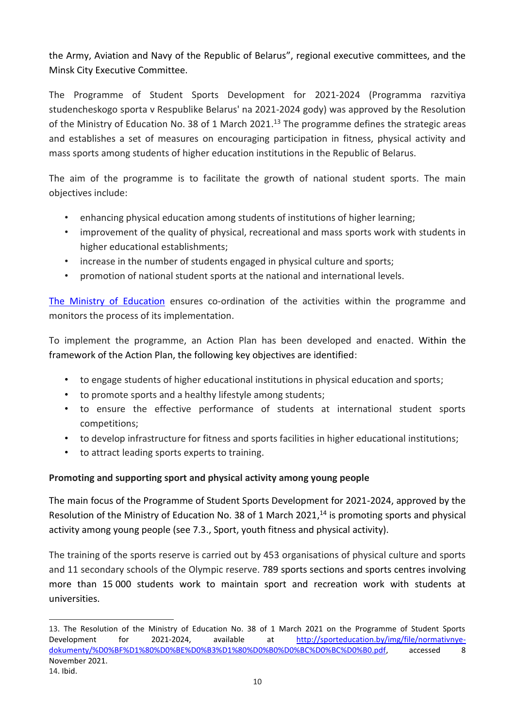the Army, Aviation and Navy of the Republic of Belarus", regional executive committees, and the Minsk City Executive Committee.

The Programme of Student Sports Development for 2021-2024 (Programma razvitiya studencheskogo sporta v Respublike Belarus' na 2021-2024 gody) was approved by the Resolution of the Ministry of Education No. 38 of 1 March 2021.<sup>13</sup> The programme defines the strategic areas and establishes a set of measures on encouraging participation in fitness, physical activity and mass sports among students of higher education institutions in the Republic of Belarus.

The aim of the programme is to facilitate the growth of national student sports. The main objectives include:

- enhancing physical education among students of institutions of higher learning;
- improvement of the quality of physical, recreational and mass sports work with students in higher educational establishments;
- increase in the number of students engaged in physical culture and sports;
- promotion of national student sports at the national and international levels.

[The Ministry of Education](http://www.edu.gov.by/) ensures co-ordination of the activities within the programme and monitors the process of its implementation.

To implement the programme, an Action Plan has been developed and enacted. Within the framework of the Action Plan, the following key objectives are identified:

- to engage students of higher educational institutions in physical education and sports;
- to promote sports and a healthy lifestyle among students;
- to ensure the effective performance of students at international student sports competitions;
- to develop infrastructure for fitness and sports facilities in higher educational institutions;
- to attract leading sports experts to training.

# **Promoting and supporting sport and physical activity among young people**

The main focus of the Programme of Student Sports Development for 2021-2024, approved by the Resolution of the Ministry of Education No. 38 of 1 March 2021,<sup>14</sup> is promoting sports and physical activity among young people (see 7.3., Sport, youth fitness and physical activity).

The training of the sports reserve is carried out by 453 organisations of physical culture and sports and 11 secondary schools of the Olympic reserve. 789 sports sections and sports centres involving more than 15 000 students work to maintain sport and recreation work with students at universities.

<sup>13.</sup> The Resolution of the Ministry of Education No. 38 of 1 March 2021 on the Programme of Student Sports Development for 2021-2024, available at [http://sporteducation.by/img/file/normativnye](http://sporteducation.by/img/file/normativnye-dokumenty/%D0%BF%D1%80%D0%BE%D0%B3%D1%80%D0%B0%D0%BC%D0%BC%D0%B0.pdf)[dokumenty/%D0%BF%D1%80%D0%BE%D0%B3%D1%80%D0%B0%D0%BC%D0%BC%D0%B0.pdf,](http://sporteducation.by/img/file/normativnye-dokumenty/%D0%BF%D1%80%D0%BE%D0%B3%D1%80%D0%B0%D0%BC%D0%BC%D0%B0.pdf) accessed 8 November 2021.

<sup>14.</sup> Ibid.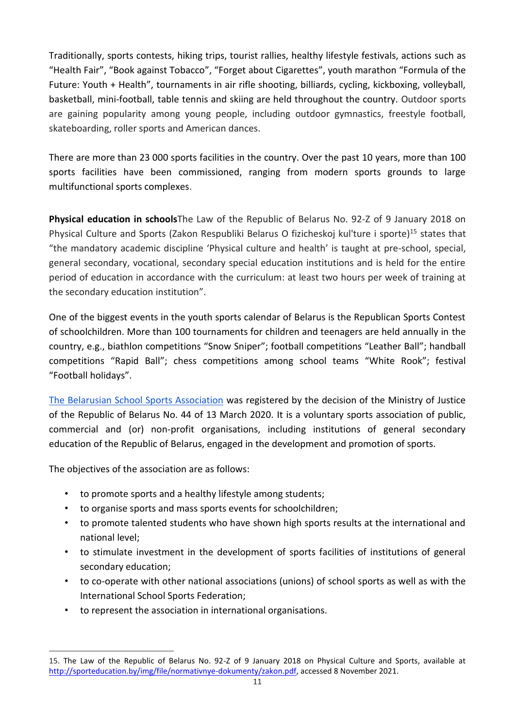Traditionally, sports contests, hiking trips, tourist rallies, healthy lifestyle festivals, actions such as "Health Fair", "Book against Tobacco", "Forget about Cigarettes", youth marathon "Formula of the Future: Youth + Health", tournaments in air rifle shooting, billiards, cycling, kickboxing, volleyball, basketball, mini-football, table tennis and skiing are held throughout the country. Outdoor sports are gaining popularity among young people, including outdoor gymnastics, freestyle football, skateboarding, roller sports and American dances.

There are more than 23 000 sports facilities in the country. Over the past 10 years, more than 100 sports facilities have been commissioned, ranging from modern sports grounds to large multifunctional sports complexes.

**Physical education in schools**The Law of the Republic of Belarus No. 92-Z of 9 January 2018 on Physical Culture and Sports (Zakon Respubliki Belarus O fizicheskoj kul'ture i sporte)<sup>15</sup> states that "the mandatory academic discipline 'Physical culture and health' is taught at pre-school, special, general secondary, vocational, secondary special education institutions and is held for the entire period of education in accordance with the curriculum: at least two hours per week of training at the secondary education institution".

One of the biggest events in the youth sports calendar of Belarus is the Republican Sports Contest of schoolchildren. More than 100 tournaments for children and teenagers are held annually in the country, e.g., biathlon competitions "Snow Sniper"; football competitions "Leather Ball"; handball competitions "Rapid Ball"; chess competitions among school teams "White Rook"; festival "Football holidays".

[The Belarusian School Sports Association](https://edu.gov.by/news/belorusskaya-assotsiatsiya-shkolnogo-sporta/) was registered by the decision of the Ministry of Justice of the Republic of Belarus No. 44 of 13 March 2020. [It](https://edu.gov.by/news/belorusskaya-assotsiatsiya-shkolnogo-sporta/) is a voluntary sports association of public, commercial and (or) non-profit organisations, including institutions of general secondary education of the Republic of Belarus, engaged in the development and promotion of sports.

The objectives of the association are as follows:

- to promote sports and a healthy lifestyle among students;
- to organise sports and mass sports events for schoolchildren;
- to promote talented students who have shown high sports results at the international and national level;
- to stimulate investment in the development of sports facilities of institutions of general secondary education;
- to co-operate with other national associations (unions) of school sports as well as with the International School Sports Federation;
- to represent the association in international organisations.

<sup>15.</sup> The Law of the Republic of Belarus No. 92-Z of 9 January 2018 on Physical Culture and Sports, available at [http://sporteducation.by/img/file/normativnye-dokumenty/zakon.pdf,](http://sporteducation.by/img/file/normativnye-dokumenty/zakon.pdf) accessed 8 November 2021.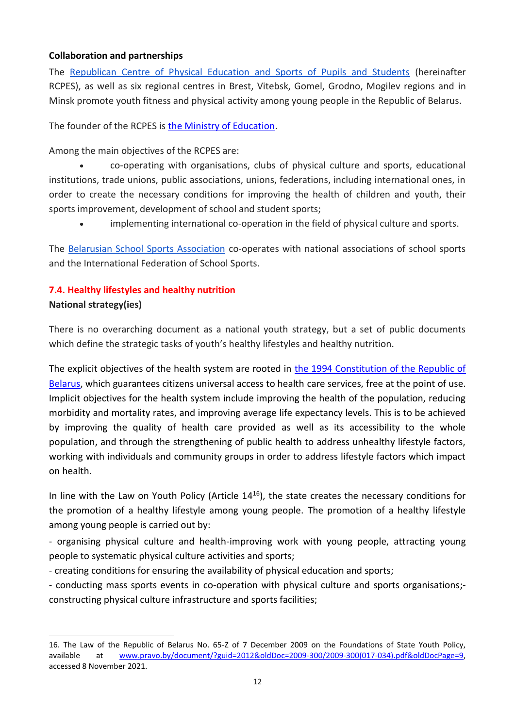# **Collaboration and partnerships**

The [Republican Centre of Physical Education and Sports of Pupils and Students](http://www.sporteducation.by/) (hereinafter RCPES), as well as six regional centres in Brest, Vitebsk, Gomel, Grodno, Mogilev regions and in Minsk promote youth fitness and physical activity among young people in the Republic of Belarus.

The founder of the RCPES is [the Ministry of Education.](http://www.edu.gov.by/)

Among the main objectives of the RCPES are:

• co-operating with organisations, clubs of physical culture and sports, educational institutions, trade unions, public associations, unions, federations, including international ones, in order to create the necessary conditions for improving the health of children and youth, their sports improvement, development of school and student sports;

• implementing international co-operation in the field of physical culture and sports.

The [Belarusian School Sports Association](https://edu.gov.by/news/belorusskaya-assotsiatsiya-shkolnogo-sporta/) co-operates with national associations of school sports and the International Federation of School Sports.

## <span id="page-11-0"></span>**7.4. Healthy lifestyles and healthy nutrition**

## **National strategy(ies)**

There is no overarching document as a national youth strategy, but a set of public documents which define the strategic tasks of youth's healthy lifestyles and healthy nutrition.

The explicit objectives of the health system are rooted in [the 1994 Constitution of the Republic of](http://law.by/document/?guid=3871&p0=V19402875e)  [Belarus,](http://law.by/document/?guid=3871&p0=V19402875e) which guarantees citizens universal access to health care services, free at the point of use. Implicit objectives for the health system include improving the health of the population, reducing morbidity and mortality rates, and improving average life expectancy levels. This is to be achieved by improving the quality of health care provided as well as its accessibility to the whole population, and through the strengthening of public health to address unhealthy lifestyle factors, working with individuals and community groups in order to address lifestyle factors which impact on health.

In line with the Law on Youth Policy (Article 14<sup>16</sup>), the state creates the necessary conditions for the promotion of a healthy lifestyle among young people. The promotion of a healthy lifestyle among young people is carried out by:

- organising physical culture and health-improving work with young people, attracting young people to systematic physical culture activities and sports;

- creating conditions for ensuring the availability of physical education and sports;

- conducting mass sports events in co-operation with physical culture and sports organisations; constructing physical culture infrastructure and sports facilities;

<sup>16.</sup> The Law of the Republic of Belarus No. 65-Z of 7 December 2009 on the Foundations of State Youth Policy, available at [www.pravo.by/document/?guid=2012&oldDoc=2009-300/2009-300\(017-034\).pdf&oldDocPage=9,](http://www.pravo.by/document/?guid=2012&oldDoc=2009-300/2009-300(017-034).pdf&oldDocPage=9) accessed 8 November 2021.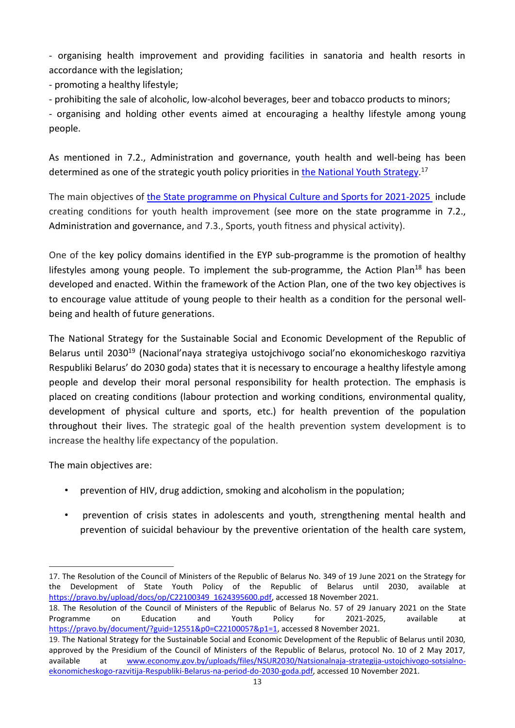- organising health improvement and providing facilities in sanatoria and health resorts in accordance with the legislation;

- promoting a healthy lifestyle;

- prohibiting the sale of alcoholic, low-alcohol beverages, beer and tobacco products to minors;

- organising and holding other events aimed at encouraging a healthy lifestyle among young people.

As mentioned in 7.2., Administration and governance, youth health and well-being has been determined as one of the strategic youth policy priorities i[n the National Youth Strategy.](#page-6-0)<sup>17</sup>

The main objectives of the State programme on Physical Culture and Sports for 2021-2025 include creating conditions for youth health improvement (see more on the state programme in 7.2., Administration and governance, and 7.3., Sports, youth fitness and physical activity).

One of the key policy domains identified in the EYP sub-programme is the promotion of healthy lifestyles among young people. To implement the sub-programme, the Action Plan<sup>18</sup> has been developed and enacted. Within the framework of the Action Plan, one of the two key objectives is to encourage value attitude of young people to their health as a condition for the personal wellbeing and health of future generations.

The National Strategy for the Sustainable Social and Economic Development of the Republic of Belarus until 2030<sup>19</sup> (Nacional'naya strategiya ustojchivogo social'no ekonomicheskogo razvitiya Respubliki Belarus' do 2030 goda) states that it is necessary to encourage a healthy lifestyle among people and develop their moral personal responsibility for health protection. The emphasis is placed on creating conditions (labour protection and working conditions, environmental quality, development of physical culture and sports, etc.) for health prevention of the population throughout their lives. The strategic goal of the health prevention system development is to increase the healthy life expectancy of the population.

The main objectives are:

- prevention of HIV, drug addiction, smoking and alcoholism in the population;
- prevention of crisis states in adolescents and youth, strengthening mental health and prevention of suicidal behaviour by the preventive orientation of the health care system,

<sup>17.</sup> The Resolution of the Council of Ministers of the Republic of Belarus No. 349 of 19 June 2021 on the Strategy for the Development of State Youth Policy of the Republic of Belarus until 2030, available at [https://pravo.by/upload/docs/op/C22100349\\_1624395600.pdf,](https://pravo.by/upload/docs/op/C22100349_1624395600.pdf) accessed 18 November 2021.

<sup>18.</sup> The Resolution of the Council of Ministers of the Republic of Belarus No. 57 of 29 January 2021 on the State Programme on Education and Youth Policy for 2021-2025, available at [https://pravo.by/document/?guid=12551&p0=C22100057&p1=1,](https://pravo.by/document/?guid=12551&p0=C22100057&p1=1) accessed 8 November 2021.

<sup>19.</sup> The National Strategy for the Sustainable Social and Economic Development of the Republic of Belarus until 2030, approved by the Presidium of the Council of Ministers of the Republic of Belarus, protocol No. 10 of 2 May 2017, available at [www.economy.gov.by/uploads/files/NSUR2030/Natsionalnaja-strategija-ustojchivogo-sotsialno](http://www.economy.gov.by/uploads/files/NSUR2030/Natsionalnaja-strategija-ustojchivogo-sotsialno-ekonomicheskogo-razvitija-Respubliki-Belarus-na-period-do-2030-goda.pdf)[ekonomicheskogo-razvitija-Respubliki-Belarus-na-period-do-2030-goda.pdf,](http://www.economy.gov.by/uploads/files/NSUR2030/Natsionalnaja-strategija-ustojchivogo-sotsialno-ekonomicheskogo-razvitija-Respubliki-Belarus-na-period-do-2030-goda.pdf) accessed 10 November 2021.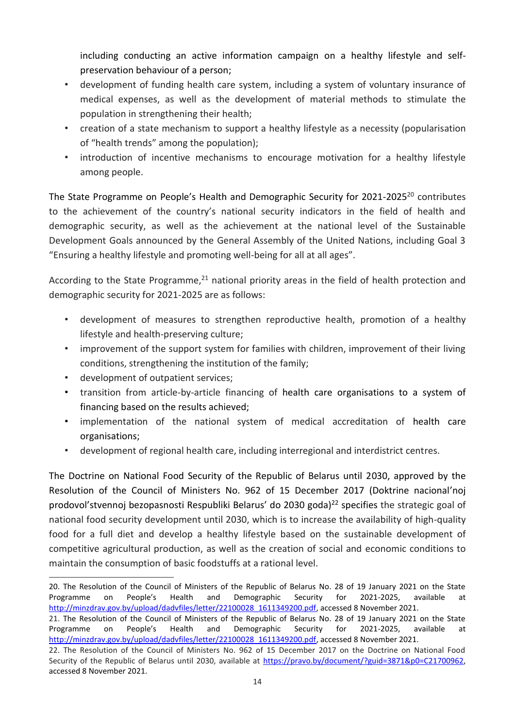including conducting an active information campaign on a healthy lifestyle and selfpreservation behaviour of a person;

- development of funding health care system, including a system of voluntary insurance of medical expenses, as well as the development of material methods to stimulate the population in strengthening their health;
- creation of a state mechanism to support a healthy lifestyle as a necessity (popularisation of "health trends" among the population);
- introduction of incentive mechanisms to encourage motivation for a healthy lifestyle among people.

The State Programme on People's Health and Demographic Security for 2021-2025<sup>20</sup> contributes to the achievement of the country's national security indicators in the field of health and demographic security, as well as the achievement at the national level of the Sustainable Development Goals announced by the General Assembly of the United Nations, including Goal 3 "Ensuring a healthy lifestyle and promoting well-being for all at all ages".

According to the State Programme,<sup>21</sup> national priority areas in the field of health protection and demographic security for 2021-2025 are as follows:

- development of measures to strengthen reproductive health, promotion of a healthy lifestyle and health-preserving culture;
- improvement of the support system for families with children, improvement of their living conditions, strengthening the institution of the family;
- development of outpatient services;
- transition from article-by-article financing of health care organisations to a system of financing based on the results achieved;
- implementation of the national system of medical accreditation of health care organisations;
- development of regional health care, including interregional and interdistrict centres.

The Doctrine on National Food Security of the Republic of Belarus until 2030, approved by the Resolution of the Council of Ministers No. 962 of 15 December 2017 (Doktrine nacional'noj prodovol'stvennoj bezopasnosti Respubliki Belarus' do 2030 goda)<sup>22</sup> specifies the strategic goal of national food security development until 2030, which is to increase the availability of high-quality food for a full diet and develop a healthy lifestyle based on the sustainable development of competitive agricultural production, as well as the creation of social and economic conditions to maintain the consumption of basic foodstuffs at a rational level.

<sup>20.</sup> The Resolution of the Council of Ministers of the Republic of Belarus No. 28 of 19 January 2021 on the State Programme on People's Health and Demographic Security for 2021-2025, available at [http://minzdrav.gov.by/upload/dadvfiles/letter/22100028\\_1611349200.pdf,](http://minzdrav.gov.by/upload/dadvfiles/letter/22100028_1611349200.pdf) accessed 8 November 2021.

<sup>21.</sup> The Resolution of the Council of Ministers of the Republic of Belarus No. 28 of 19 January 2021 on the State Programme on People's Health and Demographic Security for 2021-2025, available at [http://minzdrav.gov.by/upload/dadvfiles/letter/22100028\\_1611349200.pdf,](http://minzdrav.gov.by/upload/dadvfiles/letter/22100028_1611349200.pdf) accessed 8 November 2021.

<sup>22.</sup> The Resolution of the Council of Ministers No. 962 of 15 December 2017 on the Doctrine on National Food Security of the Republic of Belarus until 2030, available at [https://pravo.by/document/?guid=3871&p0=C21700962,](https://pravo.by/document/?guid=3871&p0=C21700962) accessed 8 November 2021.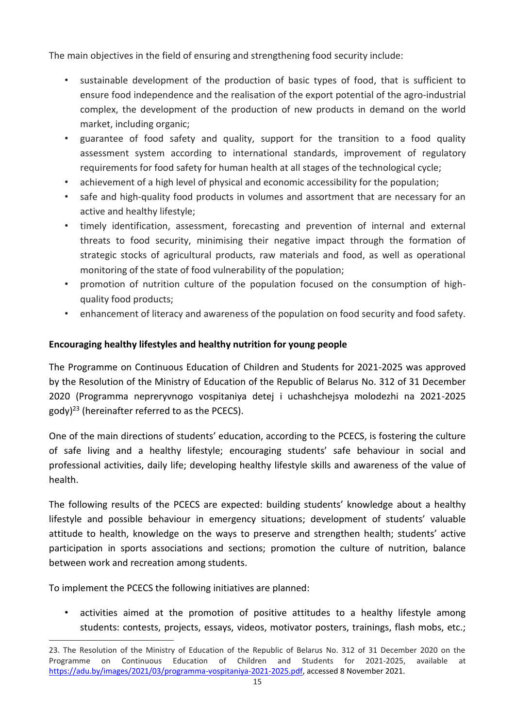The main objectives in the field of ensuring and strengthening food security include:

- sustainable development of the production of basic types of food, that is sufficient to ensure food independence and the realisation of the export potential of the agro-industrial complex, the development of the production of new products in demand on the world market, including organic;
- guarantee of food safety and quality, support for the transition to a food quality assessment system according to international standards, improvement of regulatory requirements for food safety for human health at all stages of the technological cycle;
- achievement of a high level of physical and economic accessibility for the population;
- safe and high-quality food products in volumes and assortment that are necessary for an active and healthy lifestyle;
- timely identification, assessment, forecasting and prevention of internal and external threats to food security, minimising their negative impact through the formation of strategic stocks of agricultural products, raw materials and food, as well as operational monitoring of the state of food vulnerability of the population;
- promotion of nutrition culture of the population focused on the consumption of highquality food products;
- enhancement of literacy and awareness of the population on food security and food safety.

# **Encouraging healthy lifestyles and healthy nutrition for young people**

The Programme on Continuous Education of Children and Students for 2021-2025 was approved by the Resolution of the Ministry of Education of the Republic of Belarus No. 312 of 31 December 2020 (Programma nepreryvnogo vospitaniya detej i uchashchejsya molodezhi na 2021-2025  $\text{gody}$ <sup>23</sup> (hereinafter referred to as the PCECS).

One of the main directions of students' education, according to the PCECS, is fostering the culture of safe living and a healthy lifestyle; encouraging students' safe behaviour in social and professional activities, daily life; developing healthy lifestyle skills and awareness of the value of health.

The following results of the PCECS are expected: building students' knowledge about a healthy lifestyle and possible behaviour in emergency situations; development of students' valuable attitude to health, knowledge on the ways to preserve and strengthen health; students' active participation in sports associations and sections; promotion the culture of nutrition, balance between work and recreation among students.

To implement the PCECS the following initiatives are planned:

activities aimed at the promotion of positive attitudes to a healthy lifestyle among students: contests, projects, essays, videos, motivator posters, trainings, flash mobs, etc.;

<sup>23.</sup> The Resolution of the Ministry of Education of the Republic of Belarus No. 312 of 31 December 2020 on the Programme on Continuous Education of Children and Students for 2021-2025, available at [https://adu.by/images/2021/03/programma-vospitaniya-2021-2025.pdf,](https://adu.by/images/2021/03/programma-vospitaniya-2021-2025.pdf) accessed 8 November 2021.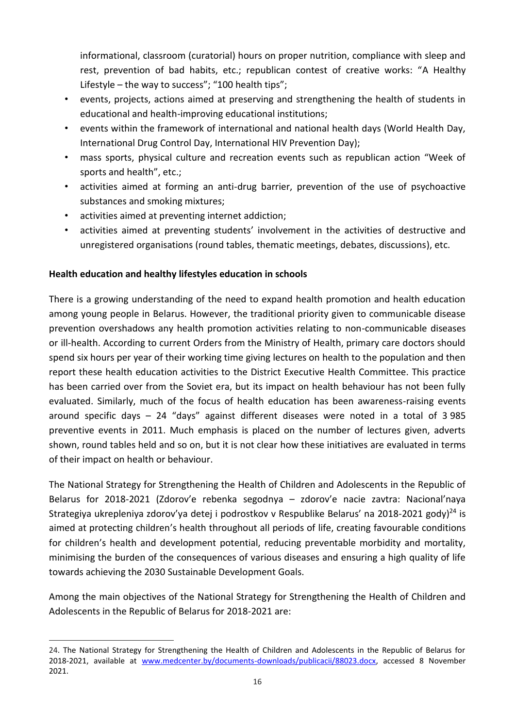informational, classroom (curatorial) hours on proper nutrition, compliance with sleep and rest, prevention of bad habits, etc.; republican contest of creative works: "A Healthy Lifestyle – the way to success"; "100 health tips";

- events, projects, actions aimed at preserving and strengthening the health of students in educational and health-improving educational institutions;
- events within the framework of international and national health days (World Health Day, International Drug Control Day, International HIV Prevention Day);
- mass sports, physical culture and recreation events such as republican action "Week of sports and health", etc.;
- activities aimed at forming an anti-drug barrier, prevention of the use of psychoactive substances and smoking mixtures;
- activities aimed at preventing internet addiction;
- activities aimed at preventing students' involvement in the activities of destructive and unregistered organisations (round tables, thematic meetings, debates, discussions), etc.

# **Health education and healthy lifestyles education in schools**

There is a growing understanding of the need to expand health promotion and health education among young people in Belarus. However, the traditional priority given to communicable disease prevention overshadows any health promotion activities relating to non-communicable diseases or ill-health. According to current Orders from the Ministry of Health, primary care doctors should spend six hours per year of their working time giving lectures on health to the population and then report these health education activities to the District Executive Health Committee. This practice has been carried over from the Soviet era, but its impact on health behaviour has not been fully evaluated. Similarly, much of the focus of health education has been awareness-raising events around specific days – 24 "days" against different diseases were noted in a total of 3 985 preventive events in 2011. Much emphasis is placed on the number of lectures given, adverts shown, round tables held and so on, but it is not clear how these initiatives are evaluated in terms of their impact on health or behaviour.

The National Strategy for Strengthening the Health of Children and Adolescents in the Republic of Belarus for 2018-2021 (Zdorov'e rebenka segodnya – zdorov'e nacie zavtra: Nacional'naya Strategiya ukrepleniya zdorov'ya detej i podrostkov v Respublike Belarus' na 2018-2021 gody)<sup>24</sup> is aimed at protecting children's health throughout all periods of life, creating favourable conditions for children's health and development potential, reducing preventable morbidity and mortality, minimising the burden of the consequences of various diseases and ensuring a high quality of life towards achieving the 2030 Sustainable Development Goals.

Among the main objectives of the National Strategy for Strengthening the Health of Children and Adolescents in the Republic of Belarus for 2018-2021 are:

<sup>24.</sup> The National Strategy for Strengthening the Health of Children and Adolescents in the Republic of Belarus for 2018-2021, available at [www.medcenter.by/documents-downloads/publicacii/88023.docx,](../../AppData/Local/Microsoft/AppData/Local/Microsoft/Windows/INetCache/Content.Outlook/9IFE9BPP/www.medcenter.by/documents-downloads/publicacii/88023.docx) accessed 8 November 2021.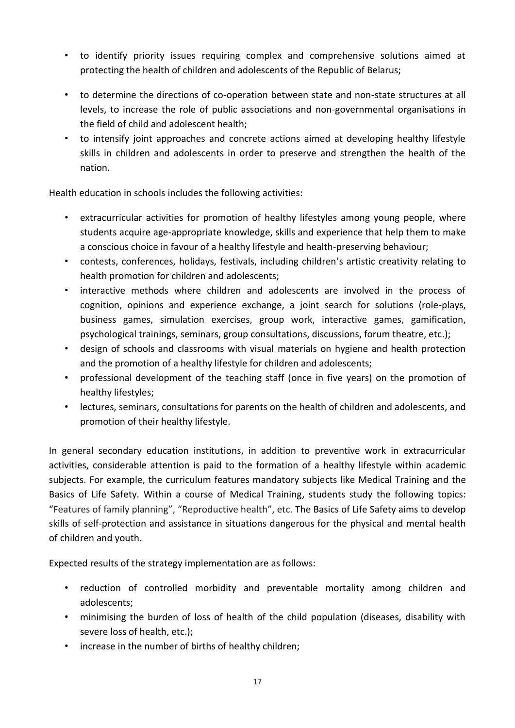- to identify priority issues requiring complex and comprehensive solutions aimed at protecting the health of children and adolescents of the Republic of Belarus;
- to determine the directions of co-operation between state and non-state structures at all levels, to increase the role of public associations and non-governmental organisations in the field of child and adolescent health;
- to intensify joint approaches and concrete actions aimed at developing healthy lifestyle skills in children and adolescents in order to preserve and strengthen the health of the nation.

Health education in schools includes the following activities:

- extracurricular activities for promotion of healthy lifestyles among young people, where students acquire age-appropriate knowledge, skills and experience that help them to make a conscious choice in favour of a healthy lifestyle and health-preserving behaviour;
- contests, conferences, holidays, festivals, including children's artistic creativity relating to health promotion for children and adolescents;
- interactive methods where children and adolescents are involved in the process of cognition, opinions and experience exchange, a joint search for solutions (role-plays, business games, simulation exercises, group work, interactive games, gamification, psychological trainings, seminars, group consultations, discussions, forum theatre, etc.);
- design of schools and classrooms with visual materials on hygiene and health protection and the promotion of a healthy lifestyle for children and adolescents;
- professional development of the teaching staff (once in five years) on the promotion of healthy lifestyles;
- lectures, seminars, consultations for parents on the health of children and adolescents, and promotion of their healthy lifestyle.

In general secondary education institutions, in addition to preventive work in extracurricular activities, considerable attention is paid to the formation of a healthy lifestyle within academic subjects. For example, the curriculum features mandatory subjects like Medical Training and the Basics of Life Safety. Within a course of Medical Training, students study the following topics: "Features of family planning", "Reproductive health", etc. The Basics of Life Safety aims to develop skills of self-protection and assistance in situations dangerous for the physical and mental health of children and youth.

Expected results of the strategy implementation are as follows:

- reduction of controlled morbidity and preventable mortality among children and adolescents;
- minimising the burden of loss of health of the child population (diseases, disability with severe loss of health, etc.);
- increase in the number of births of healthy children;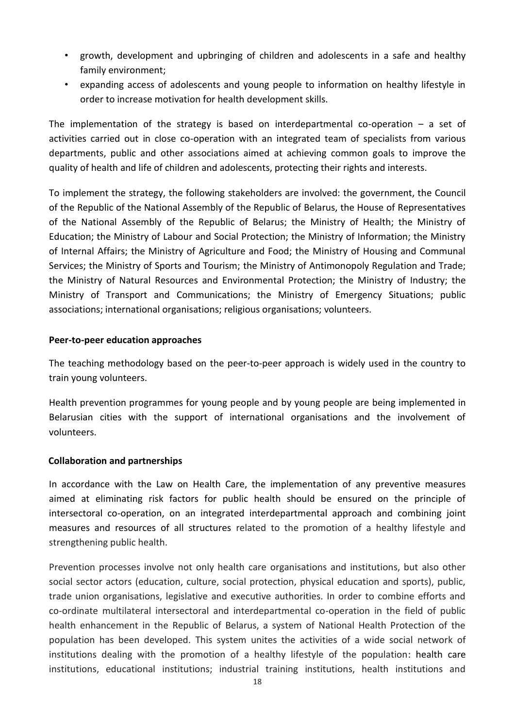- growth, development and upbringing of children and adolescents in a safe and healthy family environment;
- expanding access of adolescents and young people to information on healthy lifestyle in order to increase motivation for health development skills.

The implementation of the strategy is based on interdepartmental co-operation  $-$  a set of activities carried out in close co-operation with an integrated team of specialists from various departments, public and other associations aimed at achieving common goals to improve the quality of health and life of children and adolescents, protecting their rights and interests.

To implement the strategy, the following stakeholders are involved: the government, the Council of the Republic of the National Assembly of the Republic of Belarus, the House of Representatives of the National Assembly of the Republic of Belarus; the Ministry of Health; the Ministry of Education; the Ministry of Labour and Social Protection; the Ministry of Information; the Ministry of Internal Affairs; the Ministry of Agriculture and Food; the Ministry of Housing and Communal Services; the Ministry of Sports and Tourism; the Ministry of Antimonopoly Regulation and Trade; the Ministry of Natural Resources and Environmental Protection; the Ministry of Industry; the Ministry of Transport and Communications; the Ministry of Emergency Situations; public associations; international organisations; religious organisations; volunteers.

#### **Peer-to-peer education approaches**

The teaching methodology based on the peer-to-peer approach is widely used in the country to train young volunteers.

Health prevention programmes for young people and by young people are being implemented in Belarusian cities with the support of international organisations and the involvement of volunteers.

#### **Collaboration and partnerships**

In accordance with the Law on Health Care, the implementation of any preventive measures aimed at eliminating risk factors for public health should be ensured on the principle of intersectoral co-operation, on an integrated interdepartmental approach and combining joint measures and resources of all structures related to the promotion of a healthy lifestyle and strengthening public health.

Prevention processes involve not only health care organisations and institutions, but also other social sector actors (education, culture, social protection, physical education and sports), public, trade union organisations, legislative and executive authorities. In order to combine efforts and co-ordinate multilateral intersectoral and interdepartmental co-operation in the field of public health enhancement in the Republic of Belarus, a system of National Health Protection of the population has been developed. This system unites the activities of a wide social network of institutions dealing with the promotion of a healthy lifestyle of the population: health care institutions, educational institutions; industrial training institutions, health institutions and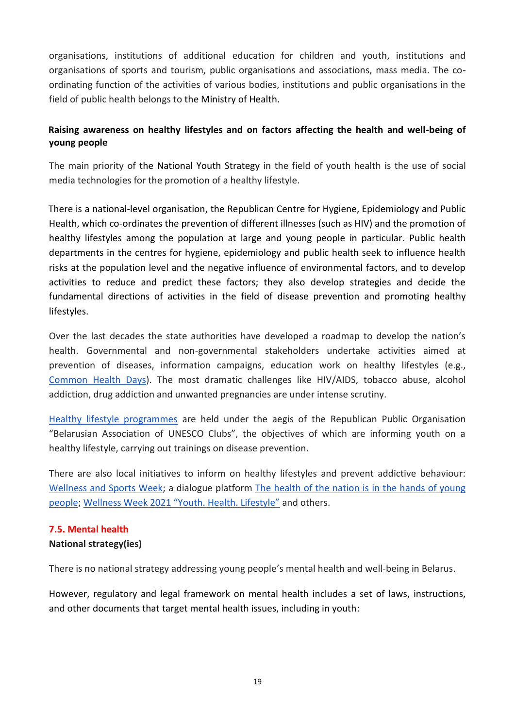organisations, institutions of additional education for children and youth, institutions and organisations of sports and tourism, public organisations and associations, mass media. The coordinating function of the activities of various bodies, institutions and public organisations in the field of public health belongs to the Ministry of Health.

# **Raising awareness on healthy lifestyles and on factors affecting the health and well-being of young people**

The main priority of the National Youth Strategy in the field of youth health is the use of social media technologies for the promotion of a healthy lifestyle.

There is a national-level organisation, the Republican Centre for Hygiene, Epidemiology and Public Health, which co-ordinates the prevention of different illnesses (such as HIV) and the promotion of healthy lifestyles among the population at large and young people in particular. Public health departments in the centres for hygiene, epidemiology and public health seek to influence health risks at the population level and the negative influence of environmental factors, and to develop activities to reduce and predict these factors; they also develop strategies and decide the fundamental directions of activities in the field of disease prevention and promoting healthy lifestyles.

Over the last decades the state authorities have developed a roadmap to develop the nation's health. Governmental and non-governmental stakeholders undertake activities aimed at prevention of diseases, information campaigns, education work on healthy lifestyles (e.g., [Common Health Days\)](https://rumc.by/propaganda-zozh/edinye-dni-zdorovya). The most dramatic challenges like HIV/AIDS, tobacco abuse, alcohol addiction, drug addiction and unwanted pregnancies are under intense scrutiny.

[Healthy lifestyle programmes](https://www.belau.info/plans/godovoj_plan_2021/) are held under the aegis of the Republican Public Organisation "Belarusian Association of UNESCO Clubs", the objectives of which are informing youth on a healthy lifestyle, carrying out trainings on disease prevention.

There are also local initiatives to inform on healthy lifestyles and prevent addictive behaviour: [Wellness and Sports Week;](https://www.belta.by/society/view/nedelja-sporta-i-zdorovjja-startovala-v-belarusi-458689-2021/) a dialogue platform [The health of the nation is in the hands of young](https://pervadmin.gov.by/dialogovaya-ploshhadka-%C2%ABzdorove-naczii-v-rukax-molodezhi%C2%BB)  [people;](https://pervadmin.gov.by/dialogovaya-ploshhadka-%C2%ABzdorove-naczii-v-rukax-molodezhi%C2%BB) [Wellness Week 2021 "Youth. Health. Lifestyle"](http://gmlocge.by/news/nedelya-zdorovya-2021-molodezh-zdorove-obraz-zhizni) and others.

## <span id="page-18-0"></span>**7.5. Mental health**

## **National strategy(ies)**

There is no national strategy addressing young people's mental health and well-being in Belarus.

However, regulatory and legal framework on mental health includes a set of laws, instructions, and other documents that target mental health issues, including in youth: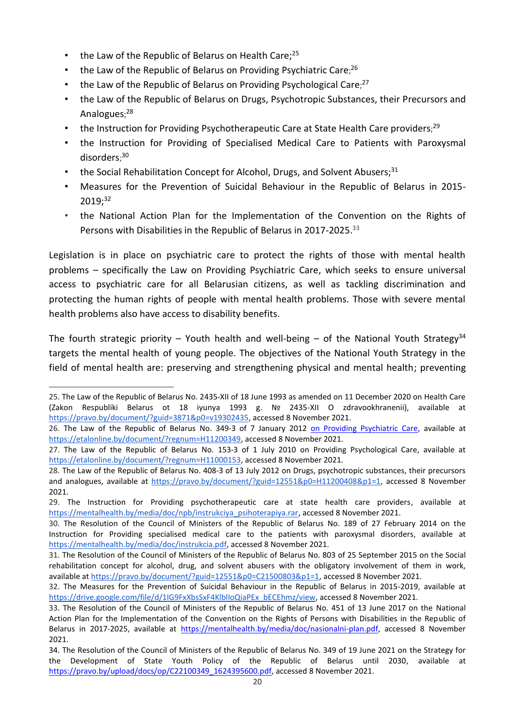- the Law of the Republic of Belarus on Health Care;<sup>25</sup>
- [the Law of the Republic of Belarus on Providing](https://mentalhealth.by/media/doc/npb/Zakon%20ob%20okazanii%20psihiatricheskoi%20pomoschi.rar) Psychiatric Care;<sup>26</sup>
- [the Law of the Republic of Belarus on Providing Psychological Care](https://mentalhealth.by/media/doc/npb/Zakon%20ob%20okazanii%20psihologicheskoi%20pomoschi.rar);<sup>27</sup>
- [the Law of the Republic of Belarus on Drugs, Psychotropic Substances, their Precursors and](https://mentalhealth.by/media/doc/npb/Zakon%20o%20narkoticheskih%20sredstvah,%20psihotropnyh%20veschestvah,%20ih%20prekursorah%20i%20analogah.rar)  [Analogues](https://mentalhealth.by/media/doc/npb/Zakon%20o%20narkoticheskih%20sredstvah,%20psihotropnyh%20veschestvah,%20ih%20prekursorah%20i%20analogah.rar);<sup>28</sup>
- [the Instruction for Providing Psychotherapeutic Care at State Health](https://mentalhealth.by/media/doc/npb/instrukciya_psihoterapiya.rar) Care providers;<sup>29</sup>
- [the Instruction for Providing of Specialised Medical Care to Patients with Paroxysmal](https://mentalhealth.by/media/doc/instrukcia.pdf)  [disorders](https://mentalhealth.by/media/doc/instrukcia.pdf); 30
- [the Social Rehabilitation Concept for Alcohol, Drugs, and Solvent Abusers;](https://drive.google.com/file/d/0B2DF1KQmW24IZThnWUI0Y1pqVDQ)<sup>31</sup>
- [Measures for the Prevention of Suicidal Behaviour in the Republic of Belarus in 2015-](https://drive.google.com/open?id=0B2DF1KQmW24ILXVTVjE2LWZFMXc) [2019;](https://drive.google.com/open?id=0B2DF1KQmW24ILXVTVjE2LWZFMXc) 32
- [the National Action Plan for the Implementation](https://mentalhealth.by/media/doc/nasionalni-plan.pdf) of the Convention on the Rights of [Persons with Disabilities in the Republic of Belarus in 2017-2025.](https://mentalhealth.by/media/doc/nasionalni-plan.pdf)<sup>33</sup>

Legislation is in place on psychiatric care to protect the rights of those with mental health problems – specifically the Law on Providing Psychiatric Care, which seeks to ensure universal access to psychiatric care for all Belarusian citizens, as well as tackling discrimination and protecting the human rights of people with mental health problems. Those with severe mental health problems also have access to disability benefits.

The fourth strategic priority – Youth health and well-being – of the National Youth Strategy<sup>34</sup> targets the mental health of young people. The objectives of the National Youth Strategy in the field of mental health are: preserving and strengthening physical and mental health; preventing

<sup>25.</sup> The Law of the Republic of Belarus No. 2435-XII of 18 June 1993 as amended on 11 December 2020 on Health Care (Zakon Respubliki Belarus ot 18 iyunya 1993 g. № 2435-XII O zdravookhranenii), available at [https://pravo.by/document/?guid=3871&p0=v19302435,](https://pravo.by/document/?guid=3871&p0=v19302435) accessed 8 November 2021.

<sup>26.</sup> [The Law of the Republic of Belarus](https://mentalhealth.by/media/doc/npb/Zakon%20o%20zdravoohranenii.rar) No. 349-З of 7 January 2012 [on Providing Psychiatric Care,](../../AppData/Local/Microsoft/AppData/Local/Microsoft/Downloads/on%20Providing%20Psychiatric%20Care) available at [https://etalonline.by/document/?regnum=H11200349,](https://etalonline.by/document/?regnum=H11200349) accessed 8 November 2021.

<sup>27.</sup> [The Law of the Republic of Belarus](https://mentalhealth.by/media/doc/npb/Zakon%20o%20zdravoohranenii.rar) No. 153-З of 1 July 2010 [on Providing Psychological Care,](https://mentalhealth.by/media/doc/npb/Zakon%20ob%20okazanii%20psihologicheskoi%20pomoschi.rar) available at [https://etalonline.by/document/?regnum=H11000153,](https://etalonline.by/document/?regnum=H11000153) accessed 8 November 2021.

<sup>28.</sup> [The Law of the Republic of Belarus](https://mentalhealth.by/media/doc/npb/Zakon%20o%20zdravoohranenii.rar) No. 408-З of 13 July 2012 [on Drugs, psychotropic substances, their precursors](https://mentalhealth.by/media/doc/npb/Zakon%20o%20narkoticheskih%20sredstvah,%20psihotropnyh%20veschestvah,%20ih%20prekursorah%20i%20analogah.rar)  [and analogues,](https://mentalhealth.by/media/doc/npb/Zakon%20o%20narkoticheskih%20sredstvah,%20psihotropnyh%20veschestvah,%20ih%20prekursorah%20i%20analogah.rar) available at [https://pravo.by/document/?guid=12551&p0=H11200408&p1=1,](https://pravo.by/document/?guid=12551&p0=H11200408&p1=1) accessed 8 November 2021.

<sup>29.</sup> [The Instruction for Providing psychotherapeutic care at state health care providers,](https://mentalhealth.by/media/doc/npb/instrukciya_psihoterapiya.rar) available at [https://mentalhealth.by/media/doc/npb/instrukciya\\_psihoterapiya.rar,](https://mentalhealth.by/media/doc/npb/instrukciya_psihoterapiya.rar) accessed 8 November 2021.

<sup>30.</sup> The Resolution of the Council of Ministers of the Republic of Belarus No. 189 of 27 February 2014 on [the](../../AppData/Local/Microsoft/AppData/Local/Nataly/Downloads/he%20Instruction%20for%20the%20provision%20of%20specialised%20medical%20care%20to%20the%20patients%20with%20paroxysmal%20disorders)  [Instruction for Providing specialised medical care to the patients with paroxysmal disorders,](../../AppData/Local/Microsoft/AppData/Local/Nataly/Downloads/he%20Instruction%20for%20the%20provision%20of%20specialised%20medical%20care%20to%20the%20patients%20with%20paroxysmal%20disorders) available at [https://mentalhealth.by/media/doc/instrukcia.pdf,](https://mentalhealth.by/media/doc/instrukcia.pdf) accessed 8 November 2021.

<sup>31.</sup> The Resolution of the Council of Ministers of the Republic of Belarus No. 803 of 25 September 2015 on [the Social](https://drive.google.com/file/d/0B2DF1KQmW24IZThnWUI0Y1pqVDQ)  [rehabilitation concept for alcohol, drug, and solvent abusers](https://drive.google.com/file/d/0B2DF1KQmW24IZThnWUI0Y1pqVDQ) with the obligatory involvement of them in work, available a[t https://pravo.by/document/?guid=12551&p0=C21500803&p1=1,](https://pravo.by/document/?guid=12551&p0=C21500803&p1=1) accessed 8 November 2021.

<sup>32.</sup> [The Measures for the Prevention of Suicidal Behaviour in the Republic of Belarus in 2015-2019,](https://drive.google.com/open?id=0B2DF1KQmW24ILXVTVjE2LWZFMXc) available at [https://drive.google.com/file/d/1IG9FxXbsSxF4KlblIoQiaPEx\\_bECEhmz/view,](https://drive.google.com/file/d/1IG9FxXbsSxF4KlblIoQiaPEx_bECEhmz/view) accessed 8 November 2021.

<sup>33.</sup> The Resolution of the Council of Ministers of the Republic of Belarus No. 451 of 13 June 2017 on the [National](https://mentalhealth.by/media/doc/nasionalni-plan.pdf)  [Action Plan for the Implementation of the Convention on the Rights of Persons with Disabilities in the Republic of](https://mentalhealth.by/media/doc/nasionalni-plan.pdf)  [Belarus in 2017-2025,](https://mentalhealth.by/media/doc/nasionalni-plan.pdf) available at [https://mentalhealth.by/media/doc/nasionalni-plan.pdf,](https://mentalhealth.by/media/doc/nasionalni-plan.pdf) accessed 8 November 2021.

<sup>34.</sup> The Resolution of the Council of Ministers of the Republic of Belarus No. 349 of 19 June 2021 on the Strategy for the Development of State Youth Policy of the Republic of Belarus until 2030, available at [https://pravo.by/upload/docs/op/C22100349\\_1624395600.pdf,](https://pravo.by/upload/docs/op/C22100349_1624395600.pdf) accessed 8 November 2021.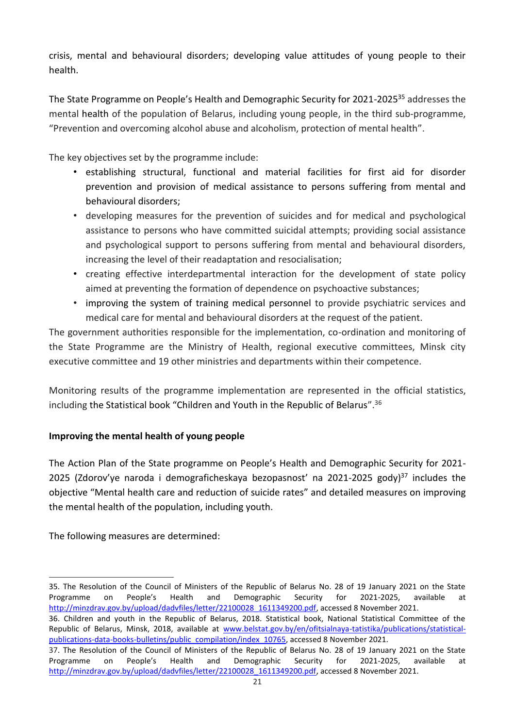crisis, mental and behavioural disorders; developing value attitudes of young people to their health.

The State Programme on People's Health and Demographic Security for 2021-2025<sup>35</sup> addresses the mental health of the population of Belarus, including young people, in the third sub-programme, "Prevention and overcoming alcohol abuse and alcoholism, protection of mental health".

The key objectives set by the programme include:

- establishing structural, functional and material facilities for first aid for disorder prevention and provision of medical assistance to persons suffering from mental and behavioural disorders;
- developing measures for the prevention of suicides and for medical and psychological assistance to persons who have committed suicidal attempts; providing social assistance and psychological support to persons suffering from mental and behavioural disorders, increasing the level of their readaptation and resocialisation;
- creating effective interdepartmental interaction for the development of state policy aimed at preventing the formation of dependence on psychoactive substances;
- improving the system of training medical personnel to provide psychiatric services and medical care for mental and behavioural disorders at the request of the patient.

The government authorities responsible for the implementation, co-ordination and monitoring of the State Programme are the Ministry of Health, regional executive committees, Minsk city executive committee and 19 other ministries and departments within their competence.

Monitoring results of the programme implementation are represented in the official statistics, including the Statistical book "Children and Youth in the Republic of Belarus". 36

# **Improving the mental health of young people**

The Action Plan of the State programme on People's Health and Demographic Security for 2021- 2025 (Zdorov'ye naroda i demograficheskaya bezopasnost' na 2021-2025 gody)<sup>37</sup> includes the objective "Mental health care and reduction of suicide rates" and detailed measures on improving the mental health of the population, including youth.

The following measures are determined:

<sup>35.</sup> The Resolution of the Council of Ministers of the Republic of Belarus No. 28 of 19 January 2021 on the State Programme on People's Health and Demographic Security for 2021-2025, available at [http://minzdrav.gov.by/upload/dadvfiles/letter/22100028\\_1611349200.pdf,](http://minzdrav.gov.by/upload/dadvfiles/letter/22100028_1611349200.pdf) accessed 8 November 2021.

<sup>36.</sup> Children and youth in the Republic of Belarus, 2018. Statistical book, National Statistical Committee of the Republic of Belarus, Minsk, 2018, available at [www.belstat.gov.by/en/ofitsialnaya-tatistika/publications/statistical](../../AppData/Local/Microsoft/AppData/Local/Microsoft/Windows/INetCache/Content.Outlook/9IFE9BPP/www.belstat.gov.by/en/ofitsialnaya-tatistika/publications/statistical-publications-data-books-bulletins/public_compilation/index_10765)[publications-data-books-bulletins/public\\_compilation/index\\_10765,](../../AppData/Local/Microsoft/AppData/Local/Microsoft/Windows/INetCache/Content.Outlook/9IFE9BPP/www.belstat.gov.by/en/ofitsialnaya-tatistika/publications/statistical-publications-data-books-bulletins/public_compilation/index_10765) accessed 8 November 2021.

<sup>37.</sup> The Resolution of the Council of Ministers of the Republic of Belarus No. 28 of 19 January 2021 on the State Programme on People's Health and Demographic Security for 2021-2025, available at [http://minzdrav.gov.by/upload/dadvfiles/letter/22100028\\_1611349200.pdf,](http://minzdrav.gov.by/upload/dadvfiles/letter/22100028_1611349200.pdf) accessed 8 November 2021.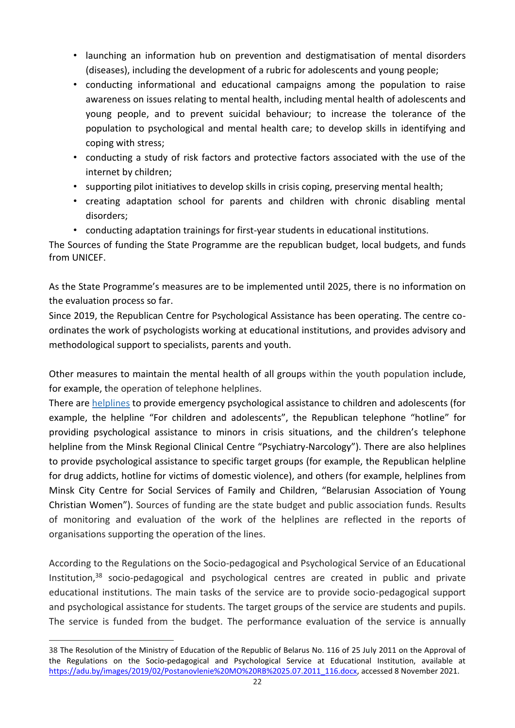- launching an information hub on prevention and destigmatisation of mental disorders (diseases), including the development of a rubric for adolescents and young people;
- сonducting informational and educational campaigns among the population to raise awareness on issues relating to mental health, including mental health of adolescents and young people, and to prevent suicidal behaviour; to increase the tolerance of the population to psychological and mental health care; to develop skills in identifying and coping with stress;
- conducting a study of risk factors and protective factors associated with the use of the internet by children;
- supporting pilot initiatives to develop skills in crisis coping, preserving mental health;
- creating adaptation school for parents and children with chronic disabling mental disorders;
- conducting adaptation trainings for first-year students in educational institutions.

The Sources of funding the State Programme are the republican budget, local budgets, and funds from UNICEF.

As the State Programme's measures are to be implemented until 2025, there is no information on the evaluation process so far.

Since 2019, the Republican Centre for Psychological Assistance has been operating. The centre coordinates the work of psychologists working at educational institutions, and provides advisory and methodological support to specialists, parents and youth.

Other measures to maintain the mental health of all groups within the youth population include, for example, the operation of telephone helplines.

There are [helplines](http://www.bsmp.by/patsientam/ekstrennaya-psikhologicheskaya-pomoshch-telefon-doveriya-v-belarusi) to provide emergency psychological assistance to children and adolescents (for example, the helpline "For children and adolescents", the Republican telephone "hotline" for providing psychological assistance to minors in crisis situations, and the children's telephone helpline from the Minsk Regional Clinical Centre "Psychiatry-Narcology"). There are also helplines to provide psychological assistance to specific target groups (for example, the Republican helpline for drug addicts, hotline for victims of domestic violence), and others (for example, helplines from Minsk City Centre for Social Services of Family and Children, "Belarusian Association of Young Christian Women"). Sources of funding are the state budget and public association funds. Results of monitoring and evaluation of the work of the helplines are reflected in the reports of organisations supporting the operation of the lines.

According to the Regulations on the Socio-pedagogical and Psychological Service of an Educational Institution, $38$  socio-pedagogical and psychological centres are created in public and private educational institutions. The main tasks of the service are to provide socio-pedagogical support and psychological assistance for students. The target groups of the service are students and pupils. The service is funded from the budget. The performance evaluation of the service is annually

<sup>38</sup> The Resolution of the Ministry of Education of the Republic of Belarus No. 116 of 25 July 2011 on the Approval of the Regulations on the Socio-pedagogical and Psychological Service at Educational Institution, available at [https://adu.by/images/2019/02/Postanovlenie%20MO%20RB%2025.07.2011\\_116.docx,](https://adu.by/images/2019/02/Postanovlenie%20MO%20RB%2025.07.2011_116.docx) accessed 8 November 2021.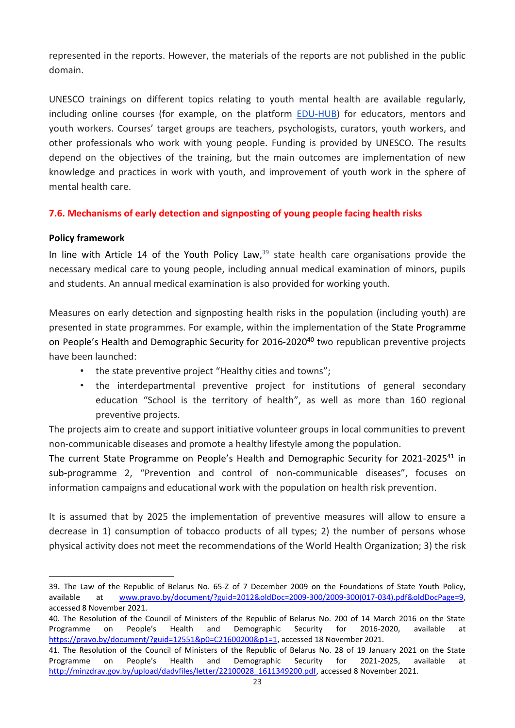represented in the reports. However, the materials of the reports are not published in the public domain.

UNESCO trainings on different topics relating to youth mental health are available regularly, including online courses (for example, on the platform [EDU-HUB\)](https://learning.e-edu.org/) for educators, mentors and youth workers. Courses' target groups are teachers, psychologists, curators, youth workers, and other professionals who work with young people. Funding is provided by UNESCO. The results depend on the objectives of the training, but the main outcomes are implementation of new knowledge and practices in work with youth, and improvement of youth work in the sphere of mental health care.

# <span id="page-22-0"></span>**7.6. Mechanisms of early detection and signposting of young people facing health risks**

## **Policy framework**

In line with Article 14 of the Youth Policy Law, $39$  state health care organisations provide the necessary medical care to young people, including annual medical examination of minors, pupils and students. An annual medical examination is also provided for working youth.

Measures on early detection and signposting health risks in the population (including youth) are presented in state programmes. For example, within the implementation of the State Programme on People's Health and Demographic Security for 2016-2020<sup>40</sup> two republican preventive projects have been launched:

- the state preventive project "Healthy cities and towns";
- the interdepartmental preventive project for institutions of general secondary education "School is the territory of health", as well as more than 160 regional preventive projects.

The projects aim to create and support initiative volunteer groups in local communities to prevent non-communicable diseases and promote a healthy lifestyle among the population.

The current State Programme on People's Health and Demographic Security for 2021-2025<sup>41</sup> in sub-programme 2, "Prevention and control of non-communicable diseases", focuses on information campaigns and educational work with the population on health risk prevention.

It is assumed that by 2025 the implementation of preventive measures will allow to ensure a decrease in 1) consumption of tobacco products of all types; 2) the number of persons whose physical activity does not meet the recommendations of the World Health Organization; 3) the risk

<sup>39</sup>. The Law of the Republic of Belarus No. 65-Z of 7 December 2009 on the Foundations of State Youth Policy, available at [www.pravo.by/document/?guid=2012&oldDoc=2009-300/2009-300\(017-034\).pdf&oldDocPage=9,](../../AppData/Local/Microsoft/AppData/Local/Microsoft/Windows/INetCache/Content.Outlook/9IFE9BPP/www.pravo.by/document/?guid=2012&oldDoc=2009-300/2009-300(017-034).pdf&oldDocPage=9) accessed 8 November 2021.

<sup>40.</sup> The Resolution of the Council of Ministers of the Republic of Belarus No. 200 of 14 March 2016 on the State Programme on People's Health and Demographic Security for 2016-2020, available at [https://pravo.by/document/?guid=12551&p0=C21600200&p1=1,](https://pravo.by/document/?guid=12551&p0=C21600200&p1=1) accessed 18 November 2021.

<sup>41.</sup> The Resolution of the Council of Ministers of the Republic of Belarus No. 28 of 19 January 2021 on the State Programme on People's Health and Demographic Security for 2021-2025, available at [http://minzdrav.gov.by/upload/dadvfiles/letter/22100028\\_1611349200.pdf,](http://minzdrav.gov.by/upload/dadvfiles/letter/22100028_1611349200.pdf) accessed 8 November 2021.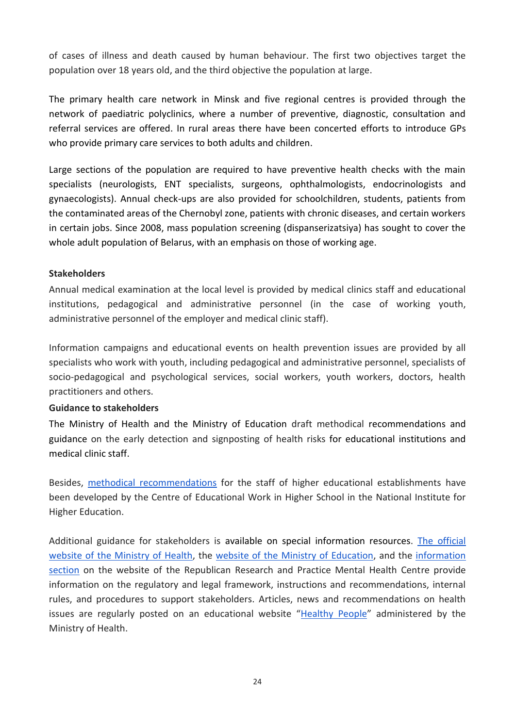of cases of illness and death caused by human behaviour. The first two objectives target the population over 18 years old, and the third objective the population at large.

The primary health care network in Minsk and five regional centres is provided through the network of paediatric polyclinics, where a number of preventive, diagnostic, consultation and referral services are offered. In rural areas there have been concerted efforts to introduce GPs who provide primary care services to both adults and children.

Large sections of the population are required to have preventive health checks with the main specialists (neurologists, ENT specialists, surgeons, ophthalmologists, endocrinologists and gynaecologists). Annual check-ups are also provided for schoolchildren, students, patients from the contaminated areas of the Chernobyl zone, patients with chronic diseases, and certain workers in certain jobs. Since 2008, mass population screening (dispanserizatsiya) has sought to cover the whole adult population of Belarus, with an emphasis on those of working age.

#### **Stakeholders**

Annual medical examination at the local level is provided by medical clinics staff and educational institutions, pedagogical and administrative personnel (in the case of working youth, administrative personnel of the employer and medical clinic staff).

Information campaigns and educational events on health prevention issues are provided by all specialists who work with youth, including pedagogical and administrative personnel, specialists of socio-pedagogical and psychological services, social workers, youth workers, doctors, health practitioners and others.

#### **Guidance to stakeholders**

The Ministry of Health and the Ministry of Education draft methodical recommendations and guidance on the early detection and signposting of health risks for educational institutions and medical clinic staff.

Besides, [methodical recommendations](http://nihe.bsu.by/index.php/ru/9-uncategorised/2109-tsentr-ideologicheskoj-i-vospitatelnoj-raboty-v-vysshej-shkole) for the staff of higher educational establishments have been developed by the Centre of Educational Work in Higher School in the National Institute for Higher Education.

Additional guidance for stakeholders is available on special information resources. [The official](http://minzdrav.gov.by/ru/)  [website of the Ministry of Health,](http://minzdrav.gov.by/ru/) the website of the [Ministry of Education,](https://edu.gov.by/sistema-obrazovaniya/glavnoe-upravlenie-vospitatelnoy-raboty-i-molodezhnoy-politiki/upravlenie-raboty/informatsionno-analiticheskie-i-metodicheskie-materialy/index.php) and the [information](https://mentalhealth.by/information)  [section](https://mentalhealth.by/information) on the website of the Republican Research and Practice Mental Health Centre provide information on the regulatory and legal framework, instructions and recommendations, internal rules, and procedures to support stakeholders. Articles, news and recommendations on health issues are regularly posted on an educational website "[Healthy People](https://24health.by/)" administered by the Ministry of Health.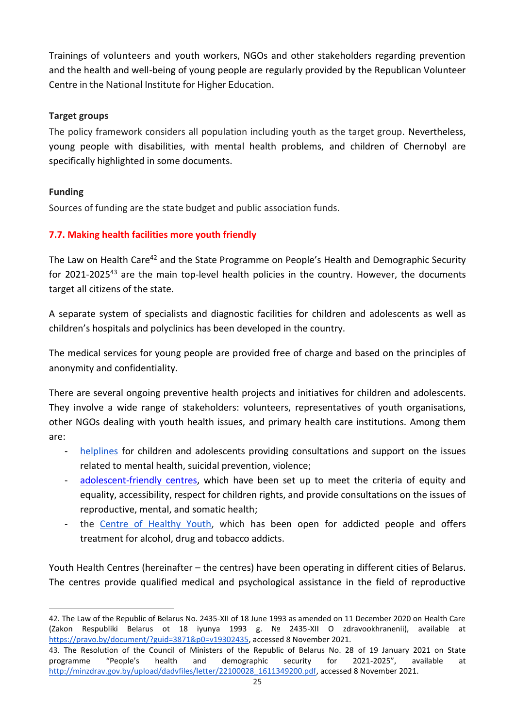Trainings of volunteers and youth workers, NGOs and other stakeholders regarding prevention and the health and well-being of young people are regularly provided by the Republican Volunteer Centre in the National Institute for Higher Education.

# **Target groups**

The policy framework considers all population including youth as the target group. Nevertheless, young people with disabilities, with mental health problems, and children of Chernobyl are specifically highlighted in some documents.

# **Funding**

Sources of funding are the state budget and public association funds.

# <span id="page-24-0"></span>**7.7. Making health facilities more youth friendly**

The Law on Health Care<sup>42</sup> and the State Programme on People's Health and Demographic Security for 2021-2025<sup>43</sup> are the main top-level health policies in the country. However, the documents target all citizens of the state.

A separate system of specialists and diagnostic facilities for children and adolescents as well as children's hospitals and polyclinics has been developed in the country.

The medical services for young people are provided free of charge and based on the principles of anonymity and confidentiality.

There are several ongoing preventive health projects and initiatives for children and adolescents. They involve a wide range of stakeholders: volunteers, representatives of youth organisations, other NGOs dealing with youth health issues, and primary health care institutions. Among them are:

- [helplines](https://mir.pravo.by/edu/detipodrostki/doverie/) for children and adolescents providing consultations and support on the issues related to mental health, suicidal prevention, violence;
- [adolescent-friendly centres,](https://www.medcenter.by/informatsiya/tsentry-druzhestvennye-podrostkam) which have been set up to meet the criteria of equity and equality, accessibility, respect for children rights, and provide consultations on the issues of reproductive, mental, and somatic health;
- the [Centre of Healthy Youth,](http://c-z-m.by/czm-belarus/o-czm/) which has been open for addicted people and offers treatment for alcohol, drug and tobacco addicts.

Youth Health Centres (hereinafter – the centres) have been operating in different cities of Belarus. The centres provide qualified medical and psychological assistance in the field of reproductive

<sup>42.</sup> The Law of the Republic of Belarus No. 2435-XII of 18 June 1993 as amended on 11 December 2020 on Health Care (Zakon Respubliki Belarus ot 18 iyunya 1993 g. № 2435-XII O zdravookhranenii), available at [https://pravo.by/document/?guid=3871&p0=v19302435,](https://pravo.by/document/?guid=3871&p0=v19302435) accessed 8 November 2021.

<sup>43.</sup> The Resolution of the Council of Ministers of the Republic of Belarus No. 28 of 19 January 2021 on State programme "People's health and demographic security for 2021-2025", available at [http://minzdrav.gov.by/upload/dadvfiles/letter/22100028\\_1611349200.pdf,](http://minzdrav.gov.by/upload/dadvfiles/letter/22100028_1611349200.pdf) accessed 8 November 2021.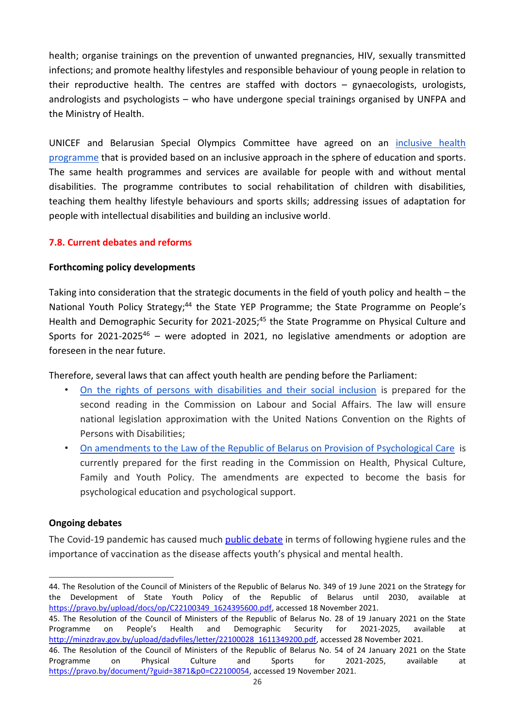health; organise trainings on the prevention of unwanted pregnancies, HIV, sexually transmitted infections; and promote healthy lifestyles and responsible behaviour of young people in relation to their reproductive health. The centres are staffed with doctors – gynaecologists, urologists, andrologists and psychologists – who have undergone special trainings organised by UNFPA and the Ministry of Health.

UNICEF and Belarusian Special Olympics Committee have agreed on an [inclusive health](https://www.unicef.by/press-centr/425.html)  [programme](https://www.unicef.by/press-centr/425.html) that is provided based on an inclusive approach in the sphere of education and sports. The same health programmes and services are available for people with and without mental disabilities. The programme contributes to social rehabilitation of children with disabilities, teaching them healthy lifestyle behaviours and sports skills; addressing issues of adaptation for people with intellectual disabilities and building an inclusive world.

# <span id="page-25-0"></span>**7.8. Current debates and reforms**

## **Forthcoming policy developments**

Taking into consideration that the strategic documents in the field of youth policy and health – the National Youth Policy Strategy;<sup>44</sup> the State YEP Programme; the State Programme on People's Health and Demographic Security for 2021-2025;<sup>45</sup> the State Programme on Physical Culture and Sports for 2021-2025<sup>46</sup> – were adopted in 2021, no legislative amendments or adoption are foreseen in the near future.

Therefore, several laws that can affect youth health are pending before the Parliament:

- [On the rights of persons with disabilities and their social inclusion](http://www.house.gov.by/ru/zakony-ru/view/o-pravax-invalidov-i-ix-sotsialnoj-integratsii-771/) is prepared for the second reading in the Commission on Labour and Social Affairs. The law will ensure national legislation approximation with the United Nations Convention on the Rights of Persons with Disabilities;
- [On amendments to the Law of the Republic of Belarus on Provision of Psychological Care](http://www.house.gov.by/ru/zakony-ru/view/ob-izmenenii-zakona-respubliki-belarus-ob-okazanii-psixologicheskoj-pomoschi-1167/) is currently prepared for the first reading in the Commission on Health, Physical Culture, Family and Youth Policy. The amendments are expected to become the basis for psychological education and psychological support.

## **Ongoing debates**

The Covid-19 pandemic has caused much [public debate](https://www.unicef.by/uploads/models/2020/05/rus-unicef-newsletter-issue-1_covid-19-response.pdf) in terms of following hygiene rules and the importance of vaccination as the disease affects youth's physical and mental health.

<sup>44.</sup> The Resolution of the Council of Ministers of the Republic of Belarus No. 349 of 19 June 2021 on the Strategy for the Development of State Youth Policy of the Republic of Belarus until 2030, available at [https://pravo.by/upload/docs/op/C22100349\\_1624395600.pdf,](https://pravo.by/upload/docs/op/C22100349_1624395600.pdf) accessed 18 November 2021.

<sup>45.</sup> The Resolution of the Council of Ministers of the Republic of Belarus No. 28 of 19 January 2021 on the State Programme on People's Health and Demographic Security for 2021-2025, available at [http://minzdrav.gov.by/upload/dadvfiles/letter/22100028\\_1611349200.pdf,](http://minzdrav.gov.by/upload/dadvfiles/letter/22100028_1611349200.pdf) accessed 28 November 2021.

<sup>46.</sup> The Resolution of the Council of Ministers of the Republic of Belarus No. 54 of 24 January 2021 on the State Programme on Physical Culture and Sports for 2021-2025, available at [https://pravo.by/document/?guid=3871&p0=C22100054,](https://pravo.by/document/?guid=3871&p0=C22100054) accessed 19 November 2021.